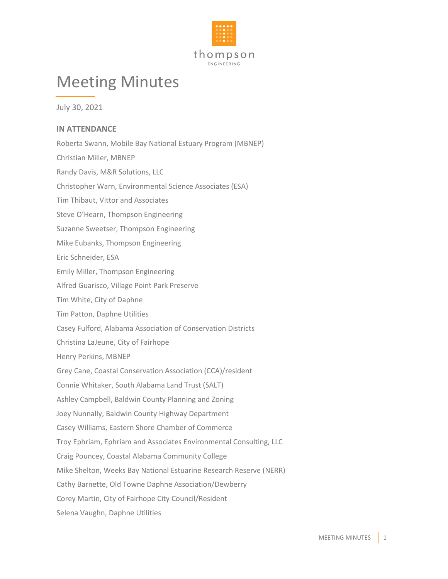

## Meeting Minutes

July 30, 2021

## **IN ATTENDANCE**

Roberta Swann, Mobile Bay National Estuary Program (MBNEP) Christian Miller, MBNEP Randy Davis, M&R Solutions, LLC Christopher Warn, Environmental Science Associates (ESA) Tim Thibaut, Vittor and Associates Steve O'Hearn, Thompson Engineering Suzanne Sweetser, Thompson Engineering Mike Eubanks, Thompson Engineering Eric Schneider, ESA Emily Miller, Thompson Engineering Alfred Guarisco, Village Point Park Preserve Tim White, City of Daphne Tim Patton, Daphne Utilities Casey Fulford, Alabama Association of Conservation Districts Christina LaJeune, City of Fairhope Henry Perkins, MBNEP Grey Cane, Coastal Conservation Association (CCA)/resident Connie Whitaker, South Alabama Land Trust (SALT) Ashley Campbell, Baldwin County Planning and Zoning Joey Nunnally, Baldwin County Highway Department Casey Williams, Eastern Shore Chamber of Commerce Troy Ephriam, Ephriam and Associates Environmental Consulting, LLC Craig Pouncey, Coastal Alabama Community College Mike Shelton, Weeks Bay National Estuarine Research Reserve (NERR) Cathy Barnette, Old Towne Daphne Association/Dewberry Corey Martin, City of Fairhope City Council/Resident Selena Vaughn, Daphne Utilities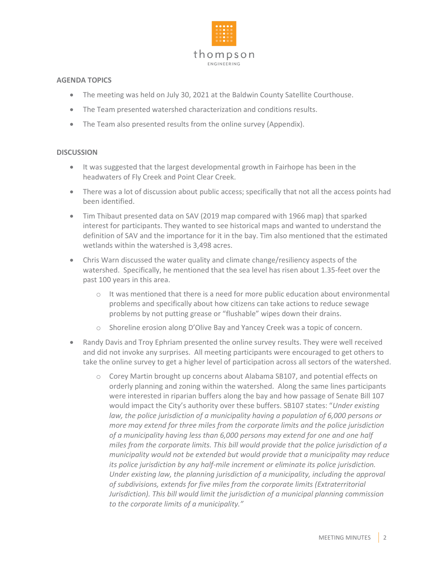

## **AGENDA TOPICS**

- The meeting was held on July 30, 2021 at the Baldwin County Satellite Courthouse.
- The Team presented watershed characterization and conditions results.
- The Team also presented results from the online survey (Appendix).

## **DISCUSSION**

- It was suggested that the largest developmental growth in Fairhope has been in the headwaters of Fly Creek and Point Clear Creek.
- There was a lot of discussion about public access; specifically that not all the access points had been identified.
- Tim Thibaut presented data on SAV (2019 map compared with 1966 map) that sparked interest for participants. They wanted to see historical maps and wanted to understand the definition of SAV and the importance for it in the bay. Tim also mentioned that the estimated wetlands within the watershed is 3,498 acres.
- Chris Warn discussed the water quality and climate change/resiliency aspects of the watershed. Specifically, he mentioned that the sea level has risen about 1.35-feet over the past 100 years in this area.
	- $\circ$  It was mentioned that there is a need for more public education about environmental problems and specifically about how citizens can take actions to reduce sewage problems by not putting grease or "flushable" wipes down their drains.
	- o Shoreline erosion along D'Olive Bay and Yancey Creek was a topic of concern.
- Randy Davis and Troy Ephriam presented the online survey results. They were well received and did not invoke any surprises. All meeting participants were encouraged to get others to take the online survey to get a higher level of participation across all sectors of the watershed.
	- o Corey Martin brought up concerns about Alabama SB107, and potential effects on orderly planning and zoning within the watershed. Along the same lines participants were interested in riparian buffers along the bay and how passage of Senate Bill 107 would impact the City's authority over these buffers. SB107 states: "*Under existing law, the police jurisdiction of a municipality having a population of 6,000 persons or more may extend for three miles from the corporate limits and the police jurisdiction of a municipality having less than 6,000 persons may extend for one and one half miles from the corporate limits. This bill would provide that the police jurisdiction of a municipality would not be extended but would provide that a municipality may reduce its police jurisdiction by any half-mile increment or eliminate its police jurisdiction. Under existing law, the planning jurisdiction of a municipality, including the approval of subdivisions, extends for five miles from the corporate limits (Extraterritorial Jurisdiction). This bill would limit the jurisdiction of a municipal planning commission to the corporate limits of a municipality."*